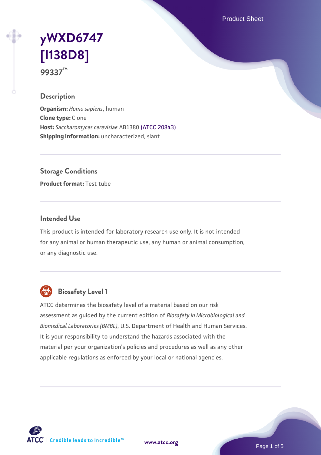Product Sheet

# **[yWXD6747](https://www.atcc.org/products/99337) [\[I138D8\]](https://www.atcc.org/products/99337) 99337™**

#### **Description**

**Organism:** *Homo sapiens*, human **Clone type:** Clone **Host:** *Saccharomyces cerevisiae* AB1380 [\(ATCC 20843\)](https://www.atcc.org/products/20843) **Shipping information:** uncharacterized, slant

**Storage Conditions**

**Product format:** Test tube

#### **Intended Use**

This product is intended for laboratory research use only. It is not intended for any animal or human therapeutic use, any human or animal consumption, or any diagnostic use.



# **Biosafety Level 1**

ATCC determines the biosafety level of a material based on our risk assessment as guided by the current edition of *Biosafety in Microbiological and Biomedical Laboratories (BMBL)*, U.S. Department of Health and Human Services. It is your responsibility to understand the hazards associated with the material per your organization's policies and procedures as well as any other applicable regulations as enforced by your local or national agencies.

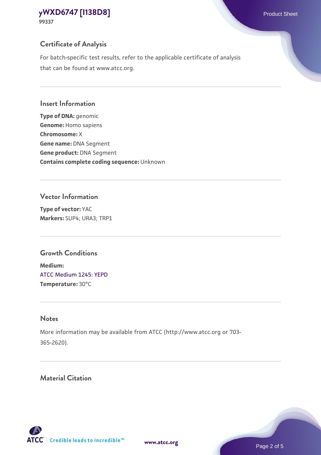**99337**

# **Certificate of Analysis**

For batch-specific test results, refer to the applicable certificate of analysis that can be found at www.atcc.org.

#### **Insert Information**

**Type of DNA:** genomic **Genome:** Homo sapiens **Chromosome:** X **Gene name:** DNA Segment **Gene product:** DNA Segment **Contains complete coding sequence:** Unknown

#### **Vector Information**

**Type of vector:** YAC **Markers:** SUP4; URA3; TRP1

# **Growth Conditions**

**Medium:**  [ATCC Medium 1245: YEPD](https://www.atcc.org/-/media/product-assets/documents/microbial-media-formulations/1/2/4/5/atcc-medium-1245.pdf?rev=705ca55d1b6f490a808a965d5c072196) **Temperature:** 30°C

# **Notes**

More information may be available from ATCC (http://www.atcc.org or 703- 365-2620).

# **Material Citation**

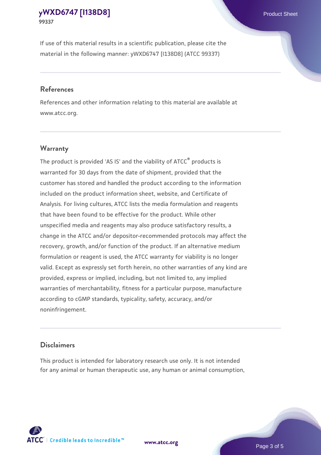If use of this material results in a scientific publication, please cite the material in the following manner: yWXD6747 [I138D8] (ATCC 99337)

#### **References**

References and other information relating to this material are available at www.atcc.org.

#### **Warranty**

The product is provided 'AS IS' and the viability of  $ATCC<sup>®</sup>$  products is warranted for 30 days from the date of shipment, provided that the customer has stored and handled the product according to the information included on the product information sheet, website, and Certificate of Analysis. For living cultures, ATCC lists the media formulation and reagents that have been found to be effective for the product. While other unspecified media and reagents may also produce satisfactory results, a change in the ATCC and/or depositor-recommended protocols may affect the recovery, growth, and/or function of the product. If an alternative medium formulation or reagent is used, the ATCC warranty for viability is no longer valid. Except as expressly set forth herein, no other warranties of any kind are provided, express or implied, including, but not limited to, any implied warranties of merchantability, fitness for a particular purpose, manufacture according to cGMP standards, typicality, safety, accuracy, and/or noninfringement.

#### **Disclaimers**

This product is intended for laboratory research use only. It is not intended for any animal or human therapeutic use, any human or animal consumption,





Page 3 of 5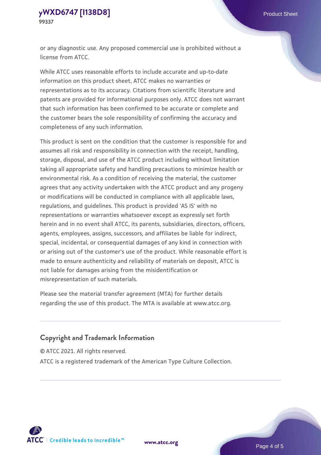or any diagnostic use. Any proposed commercial use is prohibited without a license from ATCC.

While ATCC uses reasonable efforts to include accurate and up-to-date information on this product sheet, ATCC makes no warranties or representations as to its accuracy. Citations from scientific literature and patents are provided for informational purposes only. ATCC does not warrant that such information has been confirmed to be accurate or complete and the customer bears the sole responsibility of confirming the accuracy and completeness of any such information.

This product is sent on the condition that the customer is responsible for and assumes all risk and responsibility in connection with the receipt, handling, storage, disposal, and use of the ATCC product including without limitation taking all appropriate safety and handling precautions to minimize health or environmental risk. As a condition of receiving the material, the customer agrees that any activity undertaken with the ATCC product and any progeny or modifications will be conducted in compliance with all applicable laws, regulations, and guidelines. This product is provided 'AS IS' with no representations or warranties whatsoever except as expressly set forth herein and in no event shall ATCC, its parents, subsidiaries, directors, officers, agents, employees, assigns, successors, and affiliates be liable for indirect, special, incidental, or consequential damages of any kind in connection with or arising out of the customer's use of the product. While reasonable effort is made to ensure authenticity and reliability of materials on deposit, ATCC is not liable for damages arising from the misidentification or misrepresentation of such materials.

Please see the material transfer agreement (MTA) for further details regarding the use of this product. The MTA is available at www.atcc.org.

### **Copyright and Trademark Information**

© ATCC 2021. All rights reserved.

ATCC is a registered trademark of the American Type Culture Collection.



**[www.atcc.org](http://www.atcc.org)**